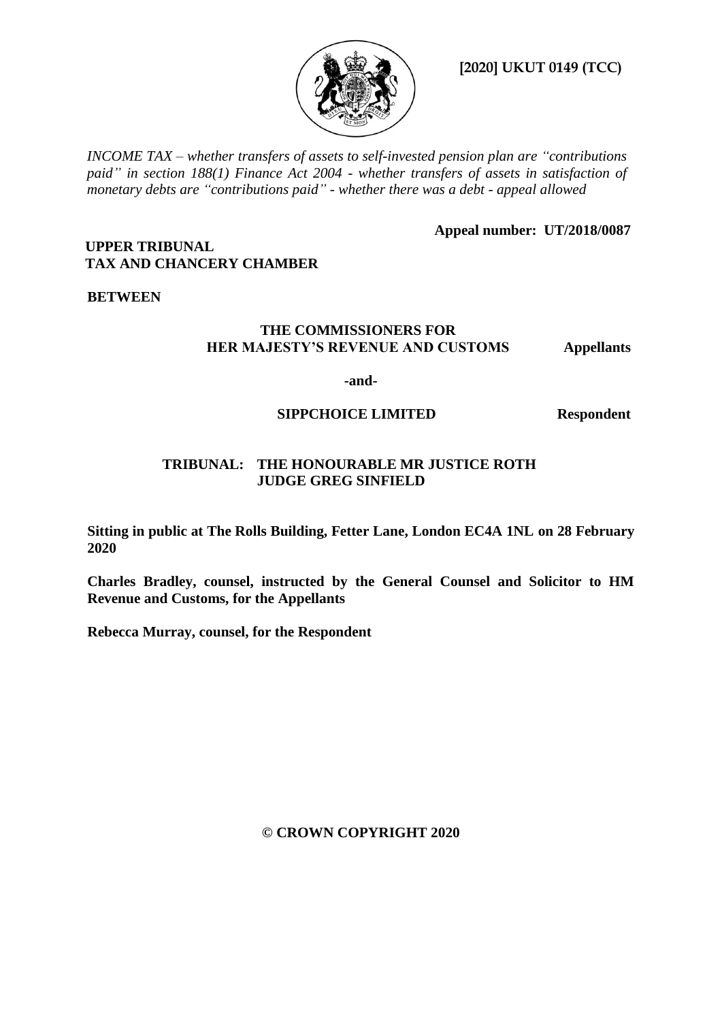

**[2020] UKUT 0149 (TCC)**

*INCOME TAX – whether transfers of assets to self-invested pension plan are "contributions paid" in section 188(1) Finance Act 2004 - whether transfers of assets in satisfaction of monetary debts are "contributions paid" - whether there was a debt - appeal allowed* 

**Appeal number: UT/2018/0087**

## **UPPER TRIBUNAL TAX AND CHANCERY CHAMBER**

# **BETWEEN**

## **THE COMMISSIONERS FOR HER MAJESTY'S REVENUE AND CUSTOMS Appellants**

**-and-**

# **SIPPCHOICE LIMITED Respondent**

# **TRIBUNAL: THE HONOURABLE MR JUSTICE ROTH JUDGE GREG SINFIELD**

**Sitting in public at The Rolls Building, Fetter Lane, London EC4A 1NL on 28 February 2020**

**Charles Bradley, counsel, instructed by the General Counsel and Solicitor to HM Revenue and Customs, for the Appellants** 

**Rebecca Murray, counsel, for the Respondent**

**© CROWN COPYRIGHT 2020**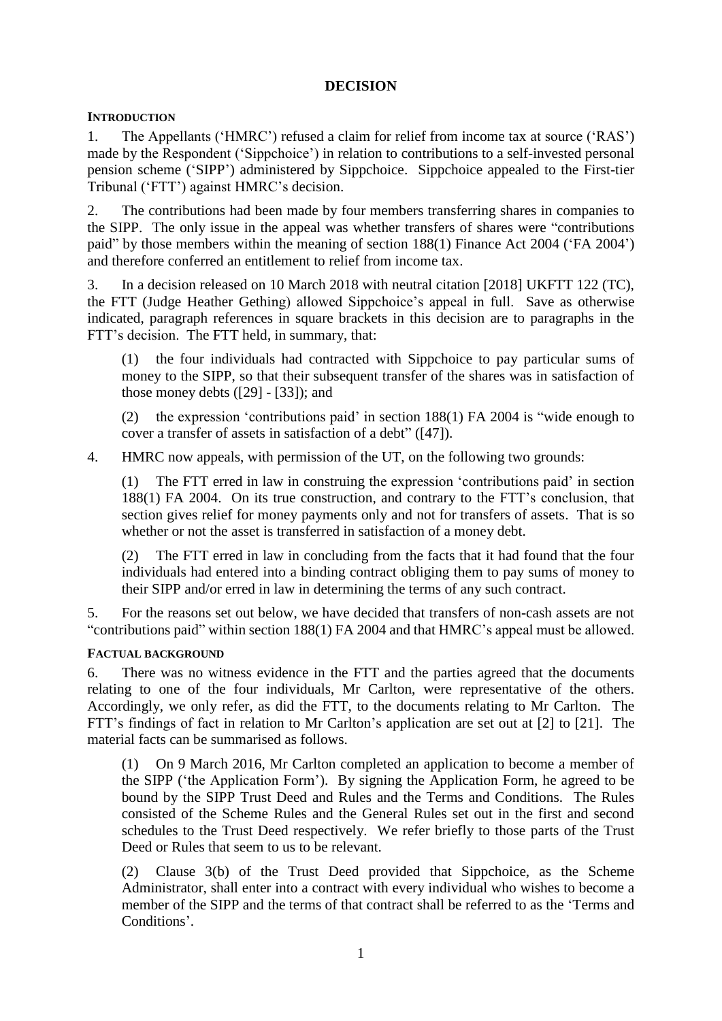## **DECISION**

## **INTRODUCTION**

1. The Appellants ('HMRC') refused a claim for relief from income tax at source ('RAS') made by the Respondent ('Sippchoice') in relation to contributions to a self-invested personal pension scheme ('SIPP') administered by Sippchoice. Sippchoice appealed to the First-tier Tribunal ('FTT') against HMRC's decision.

2. The contributions had been made by four members transferring shares in companies to the SIPP. The only issue in the appeal was whether transfers of shares were "contributions paid" by those members within the meaning of section 188(1) Finance Act 2004 ('FA 2004') and therefore conferred an entitlement to relief from income tax.

3. In a decision released on 10 March 2018 with neutral citation [2018] UKFTT 122 (TC), the FTT (Judge Heather Gething) allowed Sippchoice's appeal in full. Save as otherwise indicated, paragraph references in square brackets in this decision are to paragraphs in the FTT's decision. The FTT held, in summary, that:

(1) the four individuals had contracted with Sippchoice to pay particular sums of money to the SIPP, so that their subsequent transfer of the shares was in satisfaction of those money debts  $(29] - [33]$ ; and

(2) the expression 'contributions paid' in section 188(1) FA 2004 is "wide enough to cover a transfer of assets in satisfaction of a debt" ([47]).

4. HMRC now appeals, with permission of the UT, on the following two grounds:

(1) The FTT erred in law in construing the expression 'contributions paid' in section 188(1) FA 2004. On its true construction, and contrary to the FTT's conclusion, that section gives relief for money payments only and not for transfers of assets. That is so whether or not the asset is transferred in satisfaction of a money debt.

(2) The FTT erred in law in concluding from the facts that it had found that the four individuals had entered into a binding contract obliging them to pay sums of money to their SIPP and/or erred in law in determining the terms of any such contract.

5. For the reasons set out below, we have decided that transfers of non-cash assets are not "contributions paid" within section 188(1) FA 2004 and that HMRC's appeal must be allowed.

## **FACTUAL BACKGROUND**

6. There was no witness evidence in the FTT and the parties agreed that the documents relating to one of the four individuals, Mr Carlton, were representative of the others. Accordingly, we only refer, as did the FTT, to the documents relating to Mr Carlton. The FTT's findings of fact in relation to Mr Carlton's application are set out at [2] to [21]. The material facts can be summarised as follows.

(1) On 9 March 2016, Mr Carlton completed an application to become a member of the SIPP ('the Application Form'). By signing the Application Form, he agreed to be bound by the SIPP Trust Deed and Rules and the Terms and Conditions. The Rules consisted of the Scheme Rules and the General Rules set out in the first and second schedules to the Trust Deed respectively. We refer briefly to those parts of the Trust Deed or Rules that seem to us to be relevant.

(2) Clause 3(b) of the Trust Deed provided that Sippchoice, as the Scheme Administrator, shall enter into a contract with every individual who wishes to become a member of the SIPP and the terms of that contract shall be referred to as the 'Terms and Conditions'.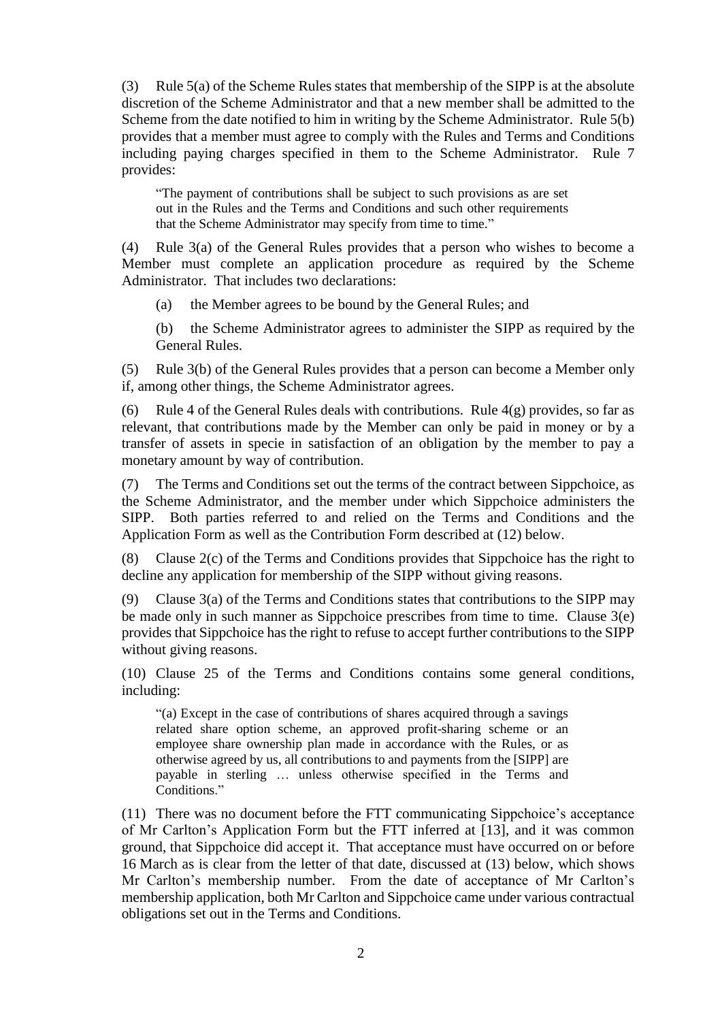(3) Rule 5(a) of the Scheme Rules states that membership of the SIPP is at the absolute discretion of the Scheme Administrator and that a new member shall be admitted to the Scheme from the date notified to him in writing by the Scheme Administrator. Rule 5(b) provides that a member must agree to comply with the Rules and Terms and Conditions including paying charges specified in them to the Scheme Administrator. Rule 7 provides:

"The payment of contributions shall be subject to such provisions as are set out in the Rules and the Terms and Conditions and such other requirements that the Scheme Administrator may specify from time to time."

(4) Rule 3(a) of the General Rules provides that a person who wishes to become a Member must complete an application procedure as required by the Scheme Administrator. That includes two declarations:

(a) the Member agrees to be bound by the General Rules; and

(b) the Scheme Administrator agrees to administer the SIPP as required by the General Rules.

(5) Rule 3(b) of the General Rules provides that a person can become a Member only if, among other things, the Scheme Administrator agrees.

(6) Rule 4 of the General Rules deals with contributions. Rule  $4(g)$  provides, so far as relevant, that contributions made by the Member can only be paid in money or by a transfer of assets in specie in satisfaction of an obligation by the member to pay a monetary amount by way of contribution.

(7) The Terms and Conditions set out the terms of the contract between Sippchoice, as the Scheme Administrator, and the member under which Sippchoice administers the SIPP. Both parties referred to and relied on the Terms and Conditions and the Application Form as well as the Contribution Form described at [\(12\)](#page-3-0) below.

(8) Clause 2(c) of the Terms and Conditions provides that Sippchoice has the right to decline any application for membership of the SIPP without giving reasons.

(9) Clause 3(a) of the Terms and Conditions states that contributions to the SIPP may be made only in such manner as Sippchoice prescribes from time to time. Clause 3(e) provides that Sippchoice has the right to refuse to accept further contributions to the SIPP without giving reasons.

(10) Clause 25 of the Terms and Conditions contains some general conditions, including:

"(a) Except in the case of contributions of shares acquired through a savings related share option scheme, an approved profit-sharing scheme or an employee share ownership plan made in accordance with the Rules, or as otherwise agreed by us, all contributions to and payments from the [SIPP] are payable in sterling … unless otherwise specified in the Terms and Conditions."

<span id="page-2-0"></span>(11) There was no document before the FTT communicating Sippchoice's acceptance of Mr Carlton's Application Form but the FTT inferred at [13], and it was common ground, that Sippchoice did accept it. That acceptance must have occurred on or before 16 March as is clear from the letter of that date, discussed at [\(13\)](#page-3-1) below, which shows Mr Carlton's membership number. From the date of acceptance of Mr Carlton's membership application, both Mr Carlton and Sippchoice came under various contractual obligations set out in the Terms and Conditions.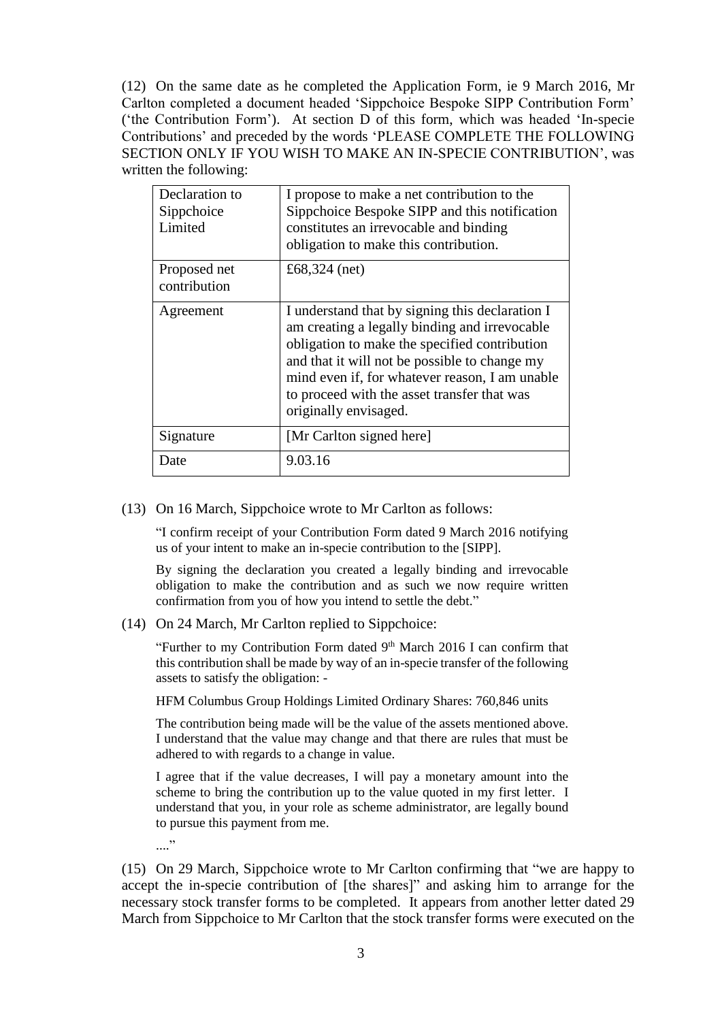<span id="page-3-0"></span>(12) On the same date as he completed the Application Form, ie 9 March 2016, Mr Carlton completed a document headed 'Sippchoice Bespoke SIPP Contribution Form' ('the Contribution Form'). At section D of this form, which was headed 'In-specie Contributions' and preceded by the words 'PLEASE COMPLETE THE FOLLOWING SECTION ONLY IF YOU WISH TO MAKE AN IN-SPECIE CONTRIBUTION', was written the following:

| Declaration to<br>Sippchoice<br>Limited | I propose to make a net contribution to the<br>Sippchoice Bespoke SIPP and this notification<br>constitutes an irrevocable and binding<br>obligation to make this contribution.                                                                                                                                              |
|-----------------------------------------|------------------------------------------------------------------------------------------------------------------------------------------------------------------------------------------------------------------------------------------------------------------------------------------------------------------------------|
| Proposed net<br>contribution            | £68,324 (net)                                                                                                                                                                                                                                                                                                                |
| Agreement                               | I understand that by signing this declaration I<br>am creating a legally binding and irrevocable<br>obligation to make the specified contribution<br>and that it will not be possible to change my<br>mind even if, for whatever reason, I am unable<br>to proceed with the asset transfer that was<br>originally envisaged. |
| Signature                               | [Mr Carlton signed here]                                                                                                                                                                                                                                                                                                     |
| Date                                    | 9.03.16                                                                                                                                                                                                                                                                                                                      |

#### <span id="page-3-1"></span>(13) On 16 March, Sippchoice wrote to Mr Carlton as follows:

"I confirm receipt of your Contribution Form dated 9 March 2016 notifying us of your intent to make an in-specie contribution to the [SIPP].

By signing the declaration you created a legally binding and irrevocable obligation to make the contribution and as such we now require written confirmation from you of how you intend to settle the debt."

(14) On 24 March, Mr Carlton replied to Sippchoice:

"Further to my Contribution Form dated  $9<sup>th</sup>$  March 2016 I can confirm that this contribution shall be made by way of an in-specie transfer of the following assets to satisfy the obligation: -

HFM Columbus Group Holdings Limited Ordinary Shares: 760,846 units

The contribution being made will be the value of the assets mentioned above. I understand that the value may change and that there are rules that must be adhered to with regards to a change in value.

I agree that if the value decreases, I will pay a monetary amount into the scheme to bring the contribution up to the value quoted in my first letter. I understand that you, in your role as scheme administrator, are legally bound to pursue this payment from me.

...."

(15) On 29 March, Sippchoice wrote to Mr Carlton confirming that "we are happy to accept the in-specie contribution of [the shares]" and asking him to arrange for the necessary stock transfer forms to be completed. It appears from another letter dated 29 March from Sippchoice to Mr Carlton that the stock transfer forms were executed on the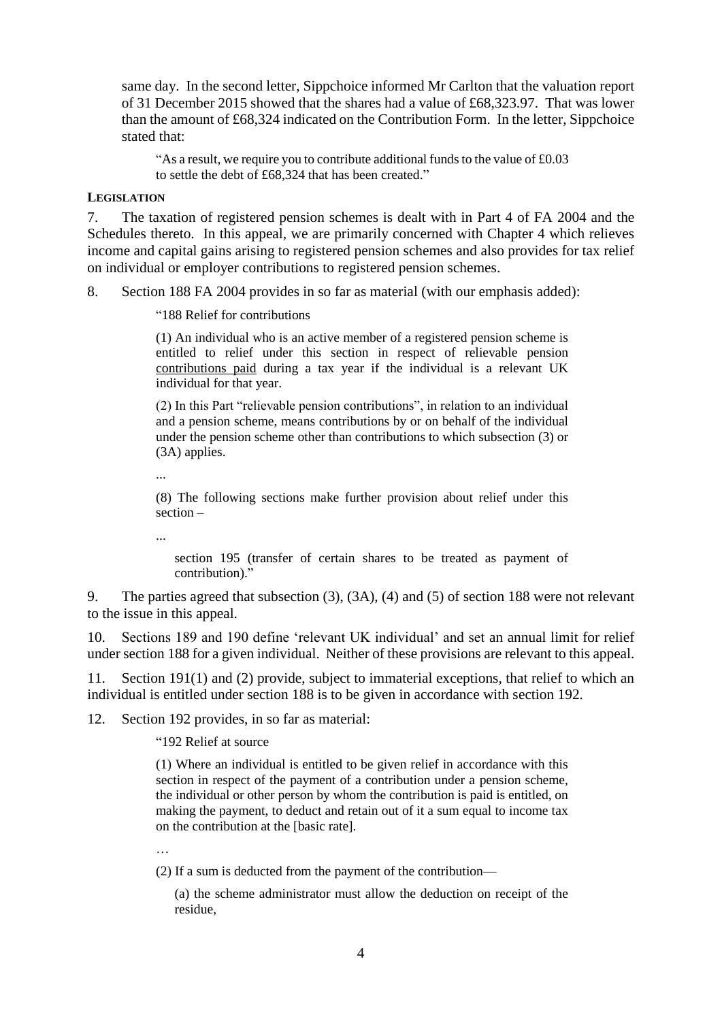same day. In the second letter, Sippchoice informed Mr Carlton that the valuation report of 31 December 2015 showed that the shares had a value of £68,323.97. That was lower than the amount of £68,324 indicated on the Contribution Form. In the letter, Sippchoice stated that:

"As a result, we require you to contribute additional funds to the value of £0.03 to settle the debt of £68,324 that has been created."

#### **LEGISLATION**

7. The taxation of registered pension schemes is dealt with in Part 4 of FA 2004 and the Schedules thereto. In this appeal, we are primarily concerned with Chapter 4 which relieves income and capital gains arising to registered pension schemes and also provides for tax relief on individual or employer contributions to registered pension schemes.

8. Section 188 FA 2004 provides in so far as material (with our emphasis added):

"188 Relief for contributions

(1) An individual who is an active member of a registered pension scheme is entitled to relief under this section in respect of relievable pension contributions paid during a tax year if the individual is a relevant UK individual for that year.

(2) In this Part "relievable pension contributions", in relation to an individual and a pension scheme, means contributions by or on behalf of the individual under the pension scheme other than contributions to which subsection (3) or (3A) applies.

...

(8) The following sections make further provision about relief under this section –

...

section 195 (transfer of certain shares to be treated as payment of contribution)."

9. The parties agreed that subsection (3), (3A), (4) and (5) of section 188 were not relevant to the issue in this appeal.

10. Sections 189 and 190 define 'relevant UK individual' and set an annual limit for relief under section 188 for a given individual. Neither of these provisions are relevant to this appeal.

11. Section 191(1) and (2) provide, subject to immaterial exceptions, that relief to which an individual is entitled under section 188 is to be given in accordance with section 192.

12. Section 192 provides, in so far as material:

"192 Relief at source

(1) Where an individual is entitled to be given relief in accordance with this section in respect of the payment of a contribution under a pension scheme, the individual or other person by whom the contribution is paid is entitled, on making the payment, to deduct and retain out of it a sum equal to income tax on the contribution at the [basic rate].

…<br>…

(2) If a sum is deducted from the payment of the contribution—

(a) the scheme administrator must allow the deduction on receipt of the residue,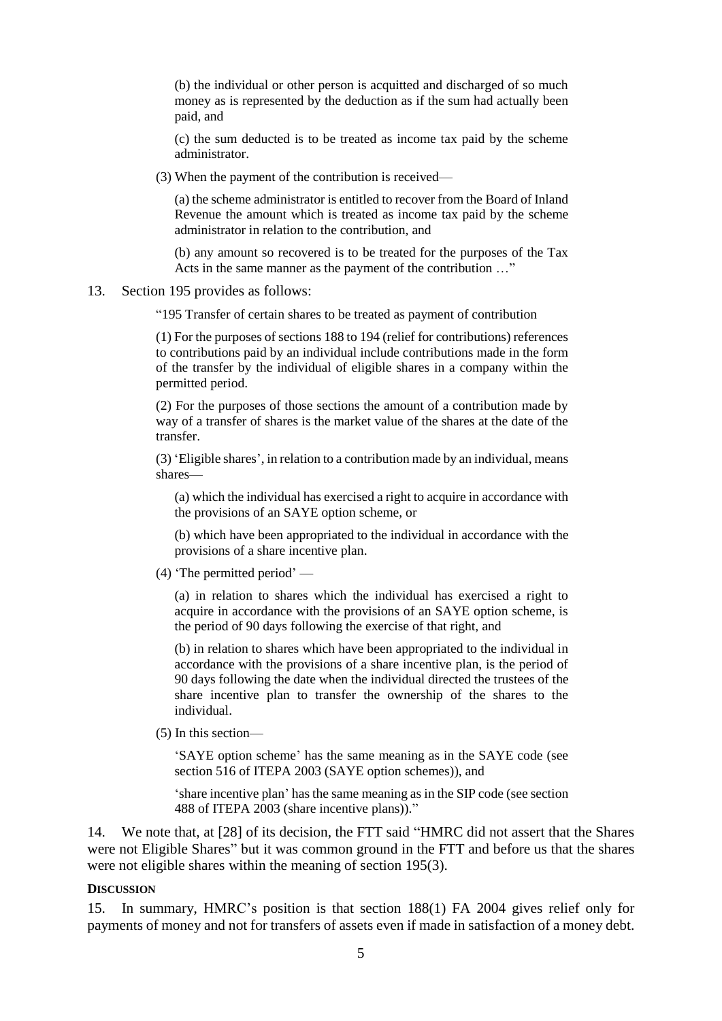(b) the individual or other person is acquitted and discharged of so much money as is represented by the deduction as if the sum had actually been paid, and

(c) the sum deducted is to be treated as income tax paid by the scheme administrator.

(3) When the payment of the contribution is received—

(a) the scheme administrator is entitled to recover from the Board of Inland Revenue the amount which is treated as income tax paid by the scheme administrator in relation to the contribution, and

(b) any amount so recovered is to be treated for the purposes of the Tax Acts in the same manner as the payment of the contribution …"

13. Section 195 provides as follows:

"195 Transfer of certain shares to be treated as payment of contribution

(1) For the purposes of sections 188 to 194 (relief for contributions) references to contributions paid by an individual include contributions made in the form of the transfer by the individual of eligible shares in a company within the permitted period.

(2) For the purposes of those sections the amount of a contribution made by way of a transfer of shares is the market value of the shares at the date of the transfer.

(3) 'Eligible shares', in relation to a contribution made by an individual, means shares—

(a) which the individual has exercised a right to acquire in accordance with the provisions of an SAYE option scheme, or

(b) which have been appropriated to the individual in accordance with the provisions of a share incentive plan.

(4) 'The permitted period' —

(a) in relation to shares which the individual has exercised a right to acquire in accordance with the provisions of an SAYE option scheme, is the period of 90 days following the exercise of that right, and

(b) in relation to shares which have been appropriated to the individual in accordance with the provisions of a share incentive plan, is the period of 90 days following the date when the individual directed the trustees of the share incentive plan to transfer the ownership of the shares to the individual.

(5) In this section—

'SAYE option scheme' has the same meaning as in the SAYE code (see section 516 of ITEPA 2003 (SAYE option schemes)), and

'share incentive plan' has the same meaning as in the SIP code (see section 488 of ITEPA 2003 (share incentive plans))."

14. We note that, at [28] of its decision, the FTT said "HMRC did not assert that the Shares were not Eligible Shares" but it was common ground in the FTT and before us that the shares were not eligible shares within the meaning of section 195(3).

#### **DISCUSSION**

15. In summary, HMRC's position is that section 188(1) FA 2004 gives relief only for payments of money and not for transfers of assets even if made in satisfaction of a money debt.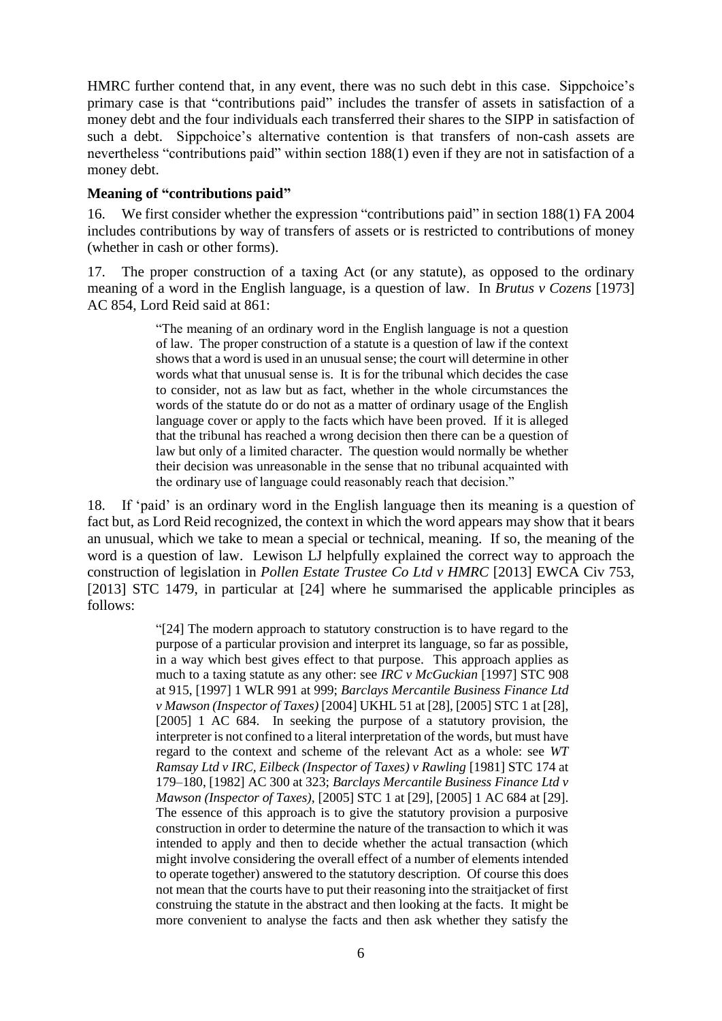HMRC further contend that, in any event, there was no such debt in this case. Sippchoice's primary case is that "contributions paid" includes the transfer of assets in satisfaction of a money debt and the four individuals each transferred their shares to the SIPP in satisfaction of such a debt. Sippchoice's alternative contention is that transfers of non-cash assets are nevertheless "contributions paid" within section 188(1) even if they are not in satisfaction of a money debt.

## **Meaning of "contributions paid"**

16. We first consider whether the expression "contributions paid" in section 188(1) FA 2004 includes contributions by way of transfers of assets or is restricted to contributions of money (whether in cash or other forms).

17. The proper construction of a taxing Act (or any statute), as opposed to the ordinary meaning of a word in the English language, is a question of law. In *Brutus v Cozens* [1973] AC 854, Lord Reid said at 861:

> "The meaning of an ordinary word in the English language is not a question of law. The proper construction of a statute is a question of law if the context shows that a word is used in an unusual sense; the court will determine in other words what that unusual sense is. It is for the tribunal which decides the case to consider, not as law but as fact, whether in the whole circumstances the words of the statute do or do not as a matter of ordinary usage of the English language cover or apply to the facts which have been proved. If it is alleged that the tribunal has reached a wrong decision then there can be a question of law but only of a limited character. The question would normally be whether their decision was unreasonable in the sense that no tribunal acquainted with the ordinary use of language could reasonably reach that decision."

18. If 'paid' is an ordinary word in the English language then its meaning is a question of fact but, as Lord Reid recognized, the context in which the word appears may show that it bears an unusual, which we take to mean a special or technical, meaning. If so, the meaning of the word is a question of law. Lewison LJ helpfully explained the correct way to approach the construction of legislation in *Pollen Estate Trustee Co Ltd v HMRC* [2013] EWCA Civ 753, [2013] STC 1479, in particular at [24] where he summarised the applicable principles as follows:

> "[24] The modern approach to statutory construction is to have regard to the purpose of a particular provision and interpret its language, so far as possible, in a way which best gives effect to that purpose. This approach applies as much to a taxing statute as any other: see *IRC v McGuckian* [1997] STC 908 at 915, [1997] 1 WLR 991 at 999; *Barclays Mercantile Business Finance Ltd v Mawson (Inspector of Taxes)* [2004] UKHL 51 at [28], [2005] STC 1 at [28], [2005] 1 AC 684. In seeking the purpose of a statutory provision, the interpreter is not confined to a literal interpretation of the words, but must have regard to the context and scheme of the relevant Act as a whole: see *WT Ramsay Ltd v IRC, Eilbeck (Inspector of Taxes) v Rawling* [1981] STC 174 at 179–180, [1982] AC 300 at 323; *Barclays Mercantile Business Finance Ltd v Mawson (Inspector of Taxes),* [2005] STC 1 at [29], [2005] 1 AC 684 at [29]. The essence of this approach is to give the statutory provision a purposive construction in order to determine the nature of the transaction to which it was intended to apply and then to decide whether the actual transaction (which might involve considering the overall effect of a number of elements intended to operate together) answered to the statutory description. Of course this does not mean that the courts have to put their reasoning into the straitjacket of first construing the statute in the abstract and then looking at the facts. It might be more convenient to analyse the facts and then ask whether they satisfy the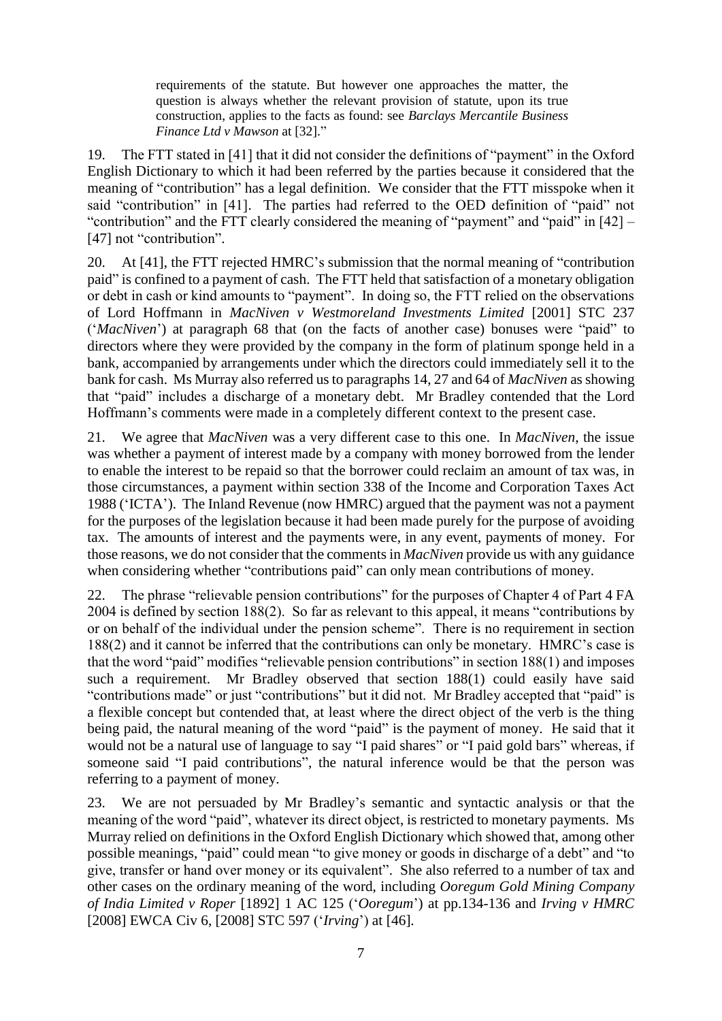requirements of the statute. But however one approaches the matter, the question is always whether the relevant provision of statute, upon its true construction, applies to the facts as found: see *Barclays Mercantile Business Finance Ltd v Mawson* at [32]."

19. The FTT stated in [41] that it did not consider the definitions of "payment" in the Oxford English Dictionary to which it had been referred by the parties because it considered that the meaning of "contribution" has a legal definition. We consider that the FTT misspoke when it said "contribution" in [41]. The parties had referred to the OED definition of "paid" not "contribution" and the FTT clearly considered the meaning of "payment" and "paid" in [42] – [47] not "contribution".

20. At [41], the FTT rejected HMRC's submission that the normal meaning of "contribution paid" is confined to a payment of cash. The FTT held that satisfaction of a monetary obligation or debt in cash or kind amounts to "payment". In doing so, the FTT relied on the observations of Lord Hoffmann in *MacNiven v Westmoreland Investments Limited* [2001] STC 237 ('*MacNiven*') at paragraph 68 that (on the facts of another case) bonuses were "paid" to directors where they were provided by the company in the form of platinum sponge held in a bank, accompanied by arrangements under which the directors could immediately sell it to the bank for cash. Ms Murray also referred us to paragraphs 14, 27 and 64 of *MacNiven* as showing that "paid" includes a discharge of a monetary debt. Mr Bradley contended that the Lord Hoffmann's comments were made in a completely different context to the present case.

21. We agree that *MacNiven* was a very different case to this one. In *MacNiven*, the issue was whether a payment of interest made by a company with money borrowed from the lender to enable the interest to be repaid so that the borrower could reclaim an amount of tax was, in those circumstances, a payment within section 338 of the Income and Corporation Taxes Act 1988 ('ICTA'). The Inland Revenue (now HMRC) argued that the payment was not a payment for the purposes of the legislation because it had been made purely for the purpose of avoiding tax. The amounts of interest and the payments were, in any event, payments of money. For those reasons, we do not consider that the comments in *MacNiven* provide us with any guidance when considering whether "contributions paid" can only mean contributions of money.

22. The phrase "relievable pension contributions" for the purposes of Chapter 4 of Part 4 FA 2004 is defined by section 188(2). So far as relevant to this appeal, it means "contributions by or on behalf of the individual under the pension scheme". There is no requirement in section 188(2) and it cannot be inferred that the contributions can only be monetary. HMRC's case is that the word "paid" modifies "relievable pension contributions" in section 188(1) and imposes such a requirement. Mr Bradley observed that section 188(1) could easily have said "contributions made" or just "contributions" but it did not. Mr Bradley accepted that "paid" is a flexible concept but contended that, at least where the direct object of the verb is the thing being paid, the natural meaning of the word "paid" is the payment of money. He said that it would not be a natural use of language to say "I paid shares" or "I paid gold bars" whereas, if someone said "I paid contributions", the natural inference would be that the person was referring to a payment of money.

23. We are not persuaded by Mr Bradley's semantic and syntactic analysis or that the meaning of the word "paid", whatever its direct object, is restricted to monetary payments. Ms Murray relied on definitions in the Oxford English Dictionary which showed that, among other possible meanings, "paid" could mean "to give money or goods in discharge of a debt" and "to give, transfer or hand over money or its equivalent". She also referred to a number of tax and other cases on the ordinary meaning of the word, including *Ooregum Gold Mining Company of India Limited v Roper* [1892] 1 AC 125 ('*Ooregum*') at pp.134-136 and *Irving v HMRC* [2008] EWCA Civ 6, [2008] STC 597 ('*Irving*') at [46]*.*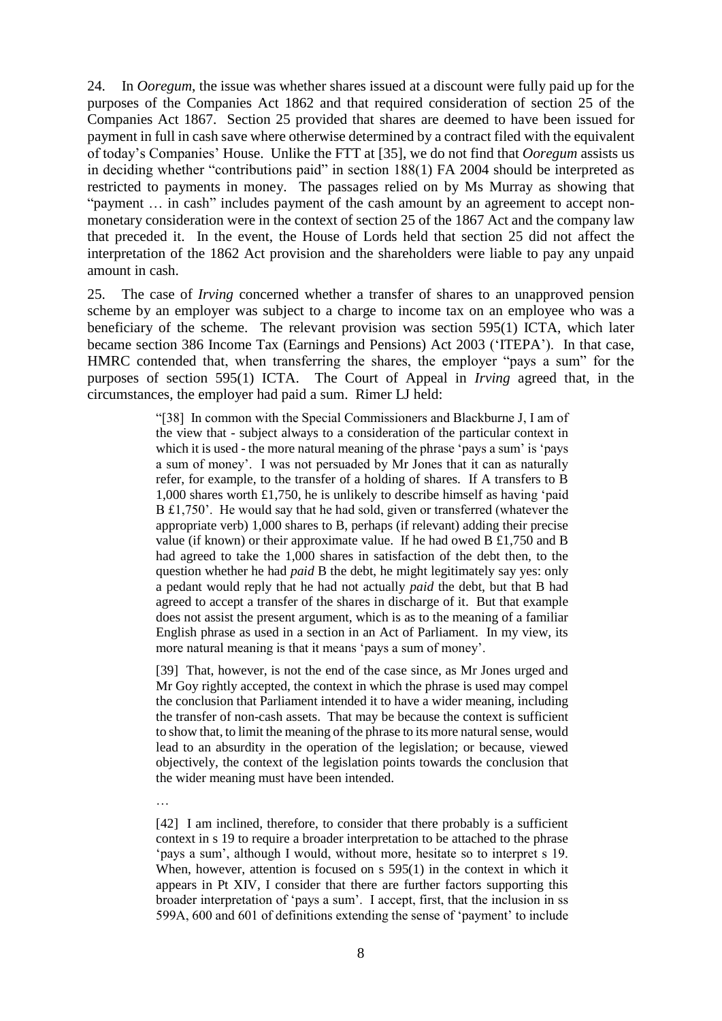24. In *Ooregum*, the issue was whether shares issued at a discount were fully paid up for the purposes of the Companies Act 1862 and that required consideration of section 25 of the Companies Act 1867. Section 25 provided that shares are deemed to have been issued for payment in full in cash save where otherwise determined by a contract filed with the equivalent of today's Companies' House. Unlike the FTT at [35], we do not find that *Ooregum* assists us in deciding whether "contributions paid" in section 188(1) FA 2004 should be interpreted as restricted to payments in money. The passages relied on by Ms Murray as showing that "payment … in cash" includes payment of the cash amount by an agreement to accept nonmonetary consideration were in the context of section 25 of the 1867 Act and the company law that preceded it. In the event, the House of Lords held that section 25 did not affect the interpretation of the 1862 Act provision and the shareholders were liable to pay any unpaid amount in cash.

25. The case of *Irving* concerned whether a transfer of shares to an unapproved pension scheme by an employer was subject to a charge to income tax on an employee who was a beneficiary of the scheme. The relevant provision was section 595(1) ICTA, which later became section 386 Income Tax (Earnings and Pensions) Act 2003 ('ITEPA'). In that case, HMRC contended that, when transferring the shares, the employer "pays a sum" for the purposes of section 595(1) ICTA. The Court of Appeal in *Irving* agreed that, in the circumstances, the employer had paid a sum. Rimer LJ held:

> "[38] In common with the Special Commissioners and Blackburne J, I am of the view that - subject always to a consideration of the particular context in which it is used - the more natural meaning of the phrase 'pays a sum' is 'pays a sum of money'. I was not persuaded by Mr Jones that it can as naturally refer, for example, to the transfer of a holding of shares. If A transfers to B 1,000 shares worth £1,750, he is unlikely to describe himself as having 'paid B £1,750'. He would say that he had sold, given or transferred (whatever the appropriate verb) 1,000 shares to B, perhaps (if relevant) adding their precise value (if known) or their approximate value. If he had owed B £1,750 and B had agreed to take the 1,000 shares in satisfaction of the debt then, to the question whether he had *paid* B the debt, he might legitimately say yes: only a pedant would reply that he had not actually *paid* the debt, but that B had agreed to accept a transfer of the shares in discharge of it. But that example does not assist the present argument, which is as to the meaning of a familiar English phrase as used in a section in an Act of Parliament. In my view, its more natural meaning is that it means 'pays a sum of money'.

> [39] That, however, is not the end of the case since, as Mr Jones urged and Mr Goy rightly accepted, the context in which the phrase is used may compel the conclusion that Parliament intended it to have a wider meaning, including the transfer of non-cash assets. That may be because the context is sufficient to show that, to limit the meaning of the phrase to its more natural sense, would lead to an absurdity in the operation of the legislation; or because, viewed objectively, the context of the legislation points towards the conclusion that the wider meaning must have been intended.

…

[42] I am inclined, therefore, to consider that there probably is a sufficient context in s 19 to require a broader interpretation to be attached to the phrase 'pays a sum', although I would, without more, hesitate so to interpret s 19. When, however, attention is focused on s 595(1) in the context in which it appears in Pt XIV, I consider that there are further factors supporting this broader interpretation of 'pays a sum'. I accept, first, that the inclusion in ss 599A, 600 and 601 of definitions extending the sense of 'payment' to include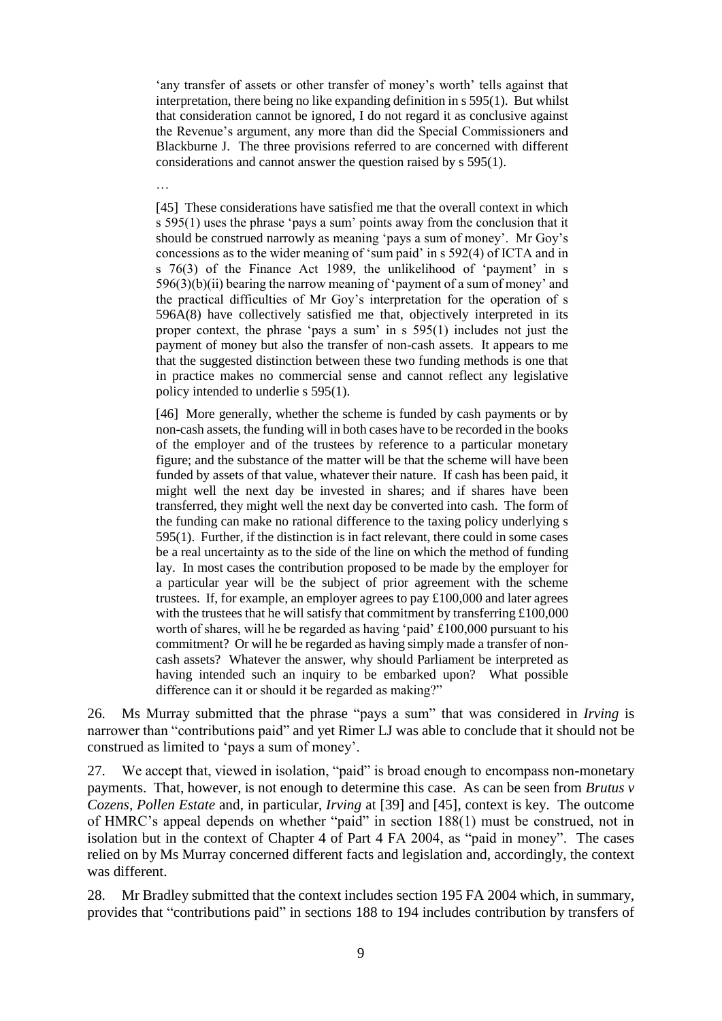'any transfer of assets or other transfer of money's worth' tells against that interpretation, there being no like expanding definition in s 595(1). But whilst that consideration cannot be ignored, I do not regard it as conclusive against the Revenue's argument, any more than did the Special Commissioners and Blackburne J. The three provisions referred to are concerned with different considerations and cannot answer the question raised by s 595(1).

…

[45] These considerations have satisfied me that the overall context in which s 595(1) uses the phrase 'pays a sum' points away from the conclusion that it should be construed narrowly as meaning 'pays a sum of money'. Mr Goy's concessions as to the wider meaning of 'sum paid' in s 592(4) of ICTA and in s 76(3) of the Finance Act 1989, the unlikelihood of 'payment' in s  $596(3)(b)(ii)$  bearing the narrow meaning of 'payment of a sum of money' and the practical difficulties of Mr Goy's interpretation for the operation of s 596A(8) have collectively satisfied me that, objectively interpreted in its proper context, the phrase 'pays a sum' in s 595(1) includes not just the payment of money but also the transfer of non-cash assets. It appears to me that the suggested distinction between these two funding methods is one that in practice makes no commercial sense and cannot reflect any legislative policy intended to underlie s 595(1).

[46] More generally, whether the scheme is funded by cash payments or by non-cash assets, the funding will in both cases have to be recorded in the books of the employer and of the trustees by reference to a particular monetary figure; and the substance of the matter will be that the scheme will have been funded by assets of that value, whatever their nature. If cash has been paid, it might well the next day be invested in shares; and if shares have been transferred, they might well the next day be converted into cash. The form of the funding can make no rational difference to the taxing policy underlying s 595(1). Further, if the distinction is in fact relevant, there could in some cases be a real uncertainty as to the side of the line on which the method of funding lay. In most cases the contribution proposed to be made by the employer for a particular year will be the subject of prior agreement with the scheme trustees. If, for example, an employer agrees to pay £100,000 and later agrees with the trustees that he will satisfy that commitment by transferring £100,000 worth of shares, will he be regarded as having 'paid' £100,000 pursuant to his commitment? Or will he be regarded as having simply made a transfer of noncash assets? Whatever the answer, why should Parliament be interpreted as having intended such an inquiry to be embarked upon? What possible difference can it or should it be regarded as making?"

26. Ms Murray submitted that the phrase "pays a sum" that was considered in *Irving* is narrower than "contributions paid" and yet Rimer LJ was able to conclude that it should not be construed as limited to 'pays a sum of money'.

27. We accept that, viewed in isolation, "paid" is broad enough to encompass non-monetary payments. That, however, is not enough to determine this case. As can be seen from *Brutus v Cozens, Pollen Estate* and, in particular, *Irving* at [39] and [45], context is key. The outcome of HMRC's appeal depends on whether "paid" in section 188(1) must be construed, not in isolation but in the context of Chapter 4 of Part 4 FA 2004, as "paid in money". The cases relied on by Ms Murray concerned different facts and legislation and, accordingly, the context was different.

28. Mr Bradley submitted that the context includes section 195 FA 2004 which, in summary, provides that "contributions paid" in sections 188 to 194 includes contribution by transfers of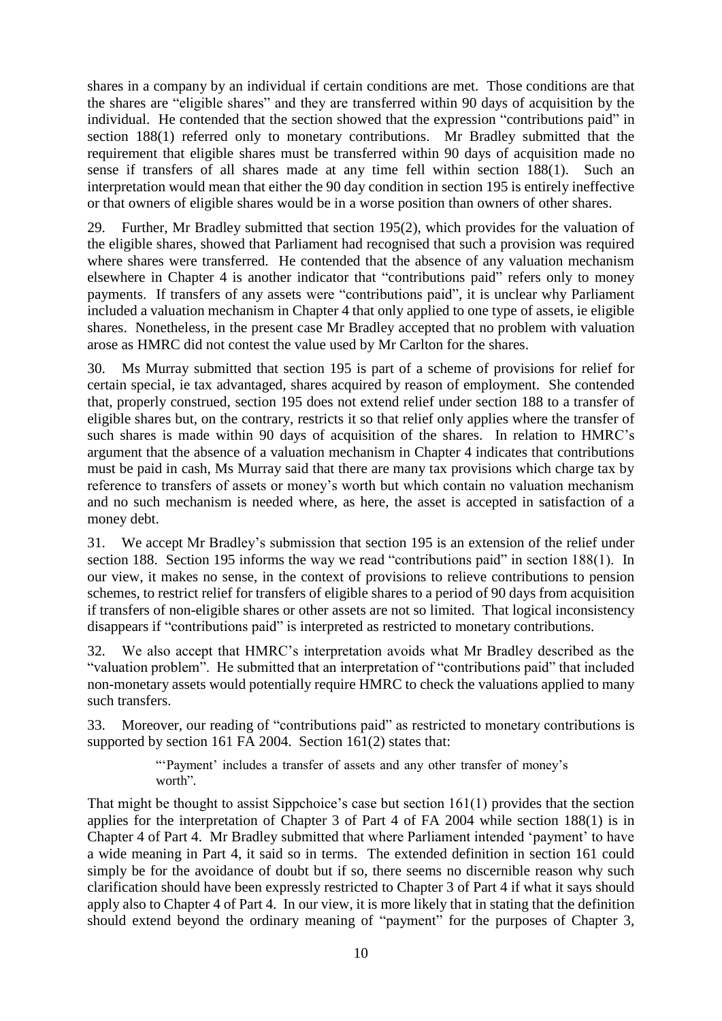shares in a company by an individual if certain conditions are met. Those conditions are that the shares are "eligible shares" and they are transferred within 90 days of acquisition by the individual. He contended that the section showed that the expression "contributions paid" in section 188(1) referred only to monetary contributions. Mr Bradley submitted that the requirement that eligible shares must be transferred within 90 days of acquisition made no sense if transfers of all shares made at any time fell within section 188(1). Such an interpretation would mean that either the 90 day condition in section 195 is entirely ineffective or that owners of eligible shares would be in a worse position than owners of other shares.

29. Further, Mr Bradley submitted that section 195(2), which provides for the valuation of the eligible shares, showed that Parliament had recognised that such a provision was required where shares were transferred. He contended that the absence of any valuation mechanism elsewhere in Chapter 4 is another indicator that "contributions paid" refers only to money payments. If transfers of any assets were "contributions paid", it is unclear why Parliament included a valuation mechanism in Chapter 4 that only applied to one type of assets, ie eligible shares. Nonetheless, in the present case Mr Bradley accepted that no problem with valuation arose as HMRC did not contest the value used by Mr Carlton for the shares.

30. Ms Murray submitted that section 195 is part of a scheme of provisions for relief for certain special, ie tax advantaged, shares acquired by reason of employment. She contended that, properly construed, section 195 does not extend relief under section 188 to a transfer of eligible shares but, on the contrary, restricts it so that relief only applies where the transfer of such shares is made within 90 days of acquisition of the shares. In relation to HMRC's argument that the absence of a valuation mechanism in Chapter 4 indicates that contributions must be paid in cash, Ms Murray said that there are many tax provisions which charge tax by reference to transfers of assets or money's worth but which contain no valuation mechanism and no such mechanism is needed where, as here, the asset is accepted in satisfaction of a money debt.

31. We accept Mr Bradley's submission that section 195 is an extension of the relief under section 188. Section 195 informs the way we read "contributions paid" in section 188(1). In our view, it makes no sense, in the context of provisions to relieve contributions to pension schemes, to restrict relief for transfers of eligible shares to a period of 90 days from acquisition if transfers of non-eligible shares or other assets are not so limited. That logical inconsistency disappears if "contributions paid" is interpreted as restricted to monetary contributions.

32. We also accept that HMRC's interpretation avoids what Mr Bradley described as the "valuation problem". He submitted that an interpretation of "contributions paid" that included non-monetary assets would potentially require HMRC to check the valuations applied to many such transfers.

33. Moreover, our reading of "contributions paid" as restricted to monetary contributions is supported by section 161 FA 2004. Section 161(2) states that:

> "'Payment' includes a transfer of assets and any other transfer of money's worth".

That might be thought to assist Sippchoice's case but section 161(1) provides that the section applies for the interpretation of Chapter 3 of Part 4 of FA 2004 while section 188(1) is in Chapter 4 of Part 4. Mr Bradley submitted that where Parliament intended 'payment' to have a wide meaning in Part 4, it said so in terms. The extended definition in section 161 could simply be for the avoidance of doubt but if so, there seems no discernible reason why such clarification should have been expressly restricted to Chapter 3 of Part 4 if what it says should apply also to Chapter 4 of Part 4. In our view, it is more likely that in stating that the definition should extend beyond the ordinary meaning of "payment" for the purposes of Chapter 3,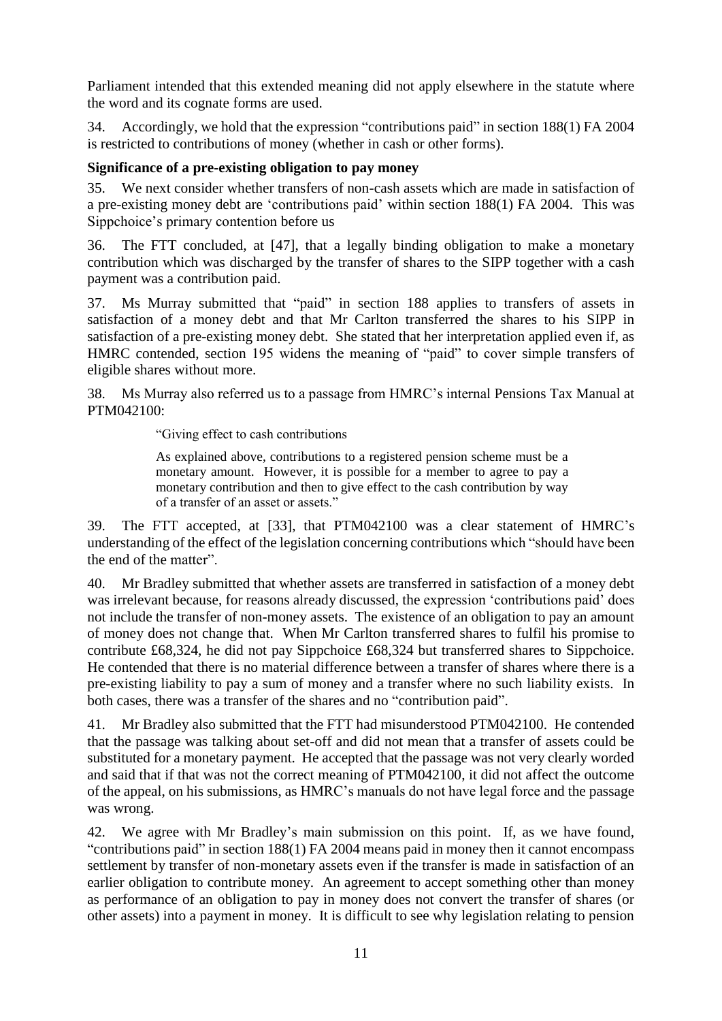Parliament intended that this extended meaning did not apply elsewhere in the statute where the word and its cognate forms are used.

34. Accordingly, we hold that the expression "contributions paid" in section 188(1) FA 2004 is restricted to contributions of money (whether in cash or other forms).

## **Significance of a pre-existing obligation to pay money**

35. We next consider whether transfers of non-cash assets which are made in satisfaction of a pre-existing money debt are 'contributions paid' within section 188(1) FA 2004. This was Sippchoice's primary contention before us

36. The FTT concluded, at [47], that a legally binding obligation to make a monetary contribution which was discharged by the transfer of shares to the SIPP together with a cash payment was a contribution paid.

37. Ms Murray submitted that "paid" in section 188 applies to transfers of assets in satisfaction of a money debt and that Mr Carlton transferred the shares to his SIPP in satisfaction of a pre-existing money debt. She stated that her interpretation applied even if, as HMRC contended, section 195 widens the meaning of "paid" to cover simple transfers of eligible shares without more.

38. Ms Murray also referred us to a passage from HMRC's internal Pensions Tax Manual at PTM042100:

"Giving effect to cash contributions

As explained above, contributions to a registered pension scheme must be a monetary amount. However, it is possible for a member to agree to pay a monetary contribution and then to give effect to the cash contribution by way of a transfer of an asset or assets."

39. The FTT accepted, at [33], that PTM042100 was a clear statement of HMRC's understanding of the effect of the legislation concerning contributions which "should have been the end of the matter".

40. Mr Bradley submitted that whether assets are transferred in satisfaction of a money debt was irrelevant because, for reasons already discussed, the expression 'contributions paid' does not include the transfer of non-money assets. The existence of an obligation to pay an amount of money does not change that. When Mr Carlton transferred shares to fulfil his promise to contribute £68,324, he did not pay Sippchoice £68,324 but transferred shares to Sippchoice. He contended that there is no material difference between a transfer of shares where there is a pre-existing liability to pay a sum of money and a transfer where no such liability exists. In both cases, there was a transfer of the shares and no "contribution paid".

41. Mr Bradley also submitted that the FTT had misunderstood PTM042100. He contended that the passage was talking about set-off and did not mean that a transfer of assets could be substituted for a monetary payment. He accepted that the passage was not very clearly worded and said that if that was not the correct meaning of PTM042100, it did not affect the outcome of the appeal, on his submissions, as HMRC's manuals do not have legal force and the passage was wrong.

42. We agree with Mr Bradley's main submission on this point. If, as we have found, "contributions paid" in section 188(1) FA 2004 means paid in money then it cannot encompass settlement by transfer of non-monetary assets even if the transfer is made in satisfaction of an earlier obligation to contribute money. An agreement to accept something other than money as performance of an obligation to pay in money does not convert the transfer of shares (or other assets) into a payment in money. It is difficult to see why legislation relating to pension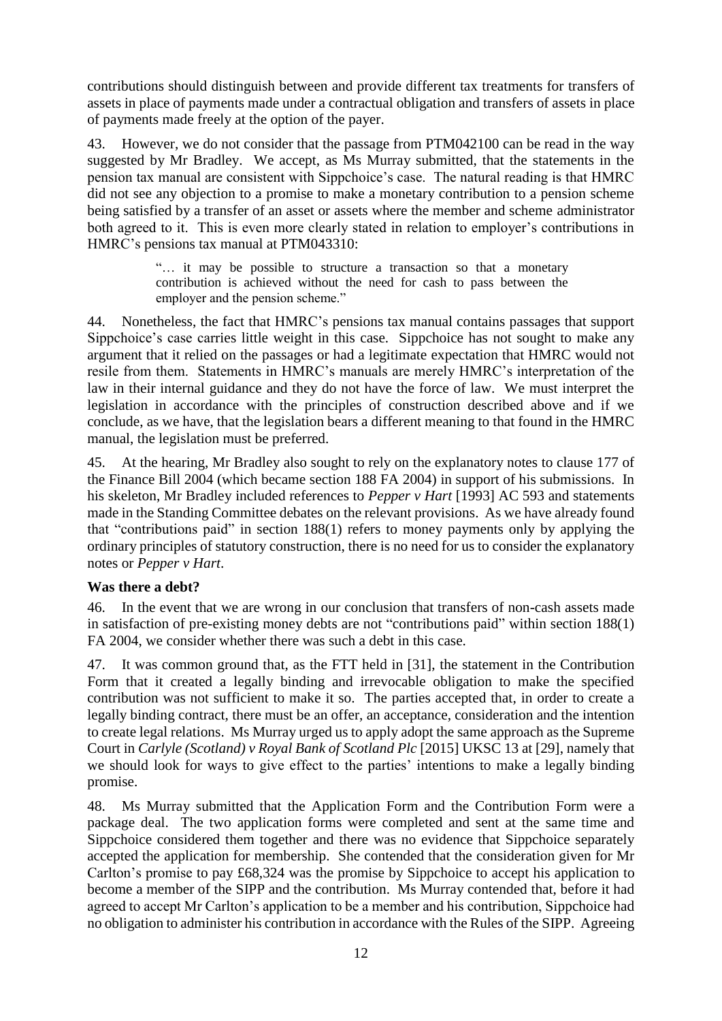contributions should distinguish between and provide different tax treatments for transfers of assets in place of payments made under a contractual obligation and transfers of assets in place of payments made freely at the option of the payer.

43. However, we do not consider that the passage from PTM042100 can be read in the way suggested by Mr Bradley. We accept, as Ms Murray submitted, that the statements in the pension tax manual are consistent with Sippchoice's case. The natural reading is that HMRC did not see any objection to a promise to make a monetary contribution to a pension scheme being satisfied by a transfer of an asset or assets where the member and scheme administrator both agreed to it. This is even more clearly stated in relation to employer's contributions in HMRC's pensions tax manual at PTM043310:

> "… it may be possible to structure a transaction so that a monetary contribution is achieved without the need for cash to pass between the employer and the pension scheme."

44. Nonetheless, the fact that HMRC's pensions tax manual contains passages that support Sippchoice's case carries little weight in this case. Sippchoice has not sought to make any argument that it relied on the passages or had a legitimate expectation that HMRC would not resile from them. Statements in HMRC's manuals are merely HMRC's interpretation of the law in their internal guidance and they do not have the force of law. We must interpret the legislation in accordance with the principles of construction described above and if we conclude, as we have, that the legislation bears a different meaning to that found in the HMRC manual, the legislation must be preferred.

45. At the hearing, Mr Bradley also sought to rely on the explanatory notes to clause 177 of the Finance Bill 2004 (which became section 188 FA 2004) in support of his submissions. In his skeleton, Mr Bradley included references to *Pepper v Hart* [1993] AC 593 and statements made in the Standing Committee debates on the relevant provisions. As we have already found that "contributions paid" in section 188(1) refers to money payments only by applying the ordinary principles of statutory construction, there is no need for us to consider the explanatory notes or *Pepper v Hart*.

## **Was there a debt?**

46. In the event that we are wrong in our conclusion that transfers of non-cash assets made in satisfaction of pre-existing money debts are not "contributions paid" within section 188(1) FA 2004, we consider whether there was such a debt in this case.

47. It was common ground that, as the FTT held in [31], the statement in the Contribution Form that it created a legally binding and irrevocable obligation to make the specified contribution was not sufficient to make it so. The parties accepted that, in order to create a legally binding contract, there must be an offer, an acceptance, consideration and the intention to create legal relations. Ms Murray urged us to apply adopt the same approach as the Supreme Court in *Carlyle (Scotland) v Royal Bank of Scotland Plc* [2015] UKSC 13 at [29], namely that we should look for ways to give effect to the parties' intentions to make a legally binding promise.

48. Ms Murray submitted that the Application Form and the Contribution Form were a package deal. The two application forms were completed and sent at the same time and Sippchoice considered them together and there was no evidence that Sippchoice separately accepted the application for membership. She contended that the consideration given for Mr Carlton's promise to pay £68,324 was the promise by Sippchoice to accept his application to become a member of the SIPP and the contribution. Ms Murray contended that, before it had agreed to accept Mr Carlton's application to be a member and his contribution, Sippchoice had no obligation to administer his contribution in accordance with the Rules of the SIPP. Agreeing